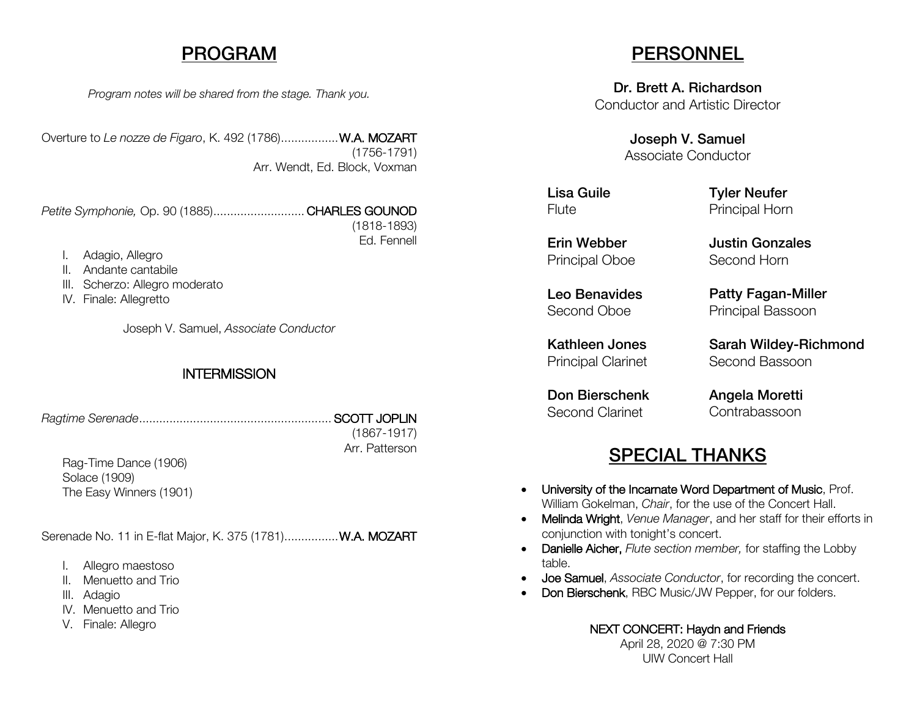### PROGRAM

*Program notes will be shared from the stage. Thank you.*

Overture to *Le nozze de Figaro*, K. 492 (1786).................W.A. MOZART (1756-1791) Arr. Wendt, Ed. Block, Voxman

*Petite Symphonie,* Op. 90 (1885)........................... CHARLES GOUNOD (1818-1893) Ed. Fennell

- I. Adagio, Allegro
- II. Andante cantabile
- III. Scherzo: Allegro moderato
- IV. Finale: Allegretto

Joseph V. Samuel, *Associate Conductor*

#### **INTERMISSION**

*Ragtime Serenade*......................................................... SCOTT JOPLIN

(1867-1917) Arr. Patterson

Rag-Time Dance (1906) Solace (1909) The Easy Winners (1901)

Serenade No. 11 in E-flat Major, K. 375 (1781)................ W.A. MOZART

- I. Allegro maestoso
- II. Menuetto and Trio
- III. Adagio
- IV. Menuetto and Trio
- V. Finale: Allegro

## **PERSONNEL**

Dr. Brett A. Richardson Conductor and Artistic Director

> Joseph V. Samuel Associate Conductor

Lisa Guile **Flute** 

Tyler Neufer Principal Horn

Erin Webber Principal Oboe

Leo Benavides Second Oboe

Kathleen Jones Principal Clarinet

Don Bierschenk Second Clarinet

Justin Gonzales Second Horn

Patty Fagan-Miller Principal Bassoon

Sarah Wildey-Richmond Second Bassoon

Angela Moretti Contrabassoon

## SPECIAL THANKS

- University of the Incarnate Word Department of Music, Prof. William Gokelman, *Chair*, for the use of the Concert Hall.
- Melinda Wright, *Venue Manager*, and her staff for their efforts in conjunction with tonight's concert.
- Danielle Aicher, *Flute section member,* for staffing the Lobby table.
- Joe Samuel, *Associate Conductor*, for recording the concert.
- Don Bierschenk, RBC Music/JW Pepper, for our folders.

#### NEXT CONCERT: Haydn and Friends

April 28, 2020 @ 7:30 PM UIW Concert Hall